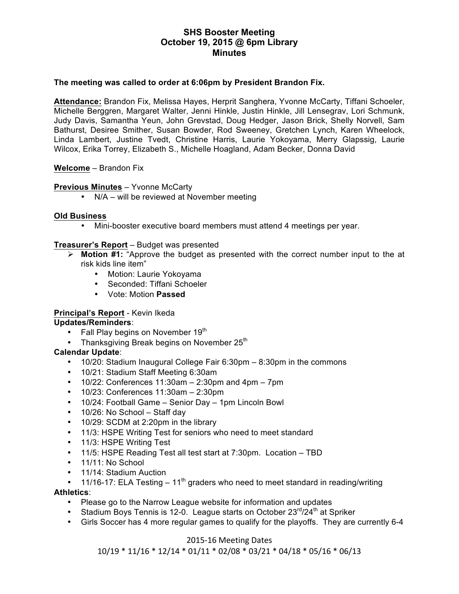# **SHS Booster Meeting October 19, 2015 @ 6pm Library Minutes**

## **The meeting was called to order at 6:06pm by President Brandon Fix.**

**Attendance:** Brandon Fix, Melissa Hayes, Herprit Sanghera, Yvonne McCarty, Tiffani Schoeler, Michelle Berggren, Margaret Walter, Jenni Hinkle, Justin Hinkle, Jill Lensegrav, Lori Schmunk, Judy Davis, Samantha Yeun, John Grevstad, Doug Hedger, Jason Brick, Shelly Norvell, Sam Bathurst, Desiree Smither, Susan Bowder, Rod Sweeney, Gretchen Lynch, Karen Wheelock, Linda Lambert, Justine Tvedt, Christine Harris, Laurie Yokoyama, Merry Glapssig, Laurie Wilcox, Erika Torrey, Elizabeth S., Michelle Hoagland, Adam Becker, Donna David

## **Welcome** – Brandon Fix

#### **Previous Minutes** – Yvonne McCarty

• N/A – will be reviewed at November meeting

## **Old Business**

• Mini-booster executive board members must attend 4 meetings per year.

## **Treasurer's Report** – Budget was presented

- ! **Motion #1:** "Approve the budget as presented with the correct number input to the at risk kids line item"
	- Motion: Laurie Yokoyama
	- Seconded: Tiffani Schoeler
	- Vote: Motion **Passed**

# **Principal's Report** - Kevin Ikeda

## **Updates/Reminders**:

- Fall Play begins on November 19th
- Thanksgiving Break begins on November  $25<sup>th</sup>$

## **Calendar Update**:

- 10/20: Stadium Inaugural College Fair 6:30pm 8:30pm in the commons
- 10/21: Stadium Staff Meeting 6:30am
- $\cdot$  10/22: Conferences 11:30am  $-$  2:30pm and 4pm  $-$  7pm
- 10/23: Conferences 11:30am 2:30pm
- 10/24: Football Game Senior Day 1pm Lincoln Bowl
- 10/26: No School Staff day
- 10/29: SCDM at 2:20pm in the library
- 11/3: HSPE Writing Test for seniors who need to meet standard
- 11/3: HSPE Writing Test
- 11/5: HSPE Reading Test all test start at 7:30pm. Location TBD
- 11/11: No School
- 11/14: Stadium Auction
- 11/16-17: ELA Testing  $-11<sup>th</sup>$  graders who need to meet standard in reading/writing

## **Athletics**:

- Please go to the Narrow League website for information and updates
- Stadium Boys Tennis is 12-0. League starts on October  $23^{\text{rd}}/24^{\text{th}}$  at Spriker
- Girls Soccer has 4 more regular games to qualify for the playoffs. They are currently 6-4

## 2015-16 Meeting Dates

10/19 \* 11/16 \* 12/14 \* 01/11 \* 02/08 \* 03/21 \* 04/18 \* 05/16 \* 06/13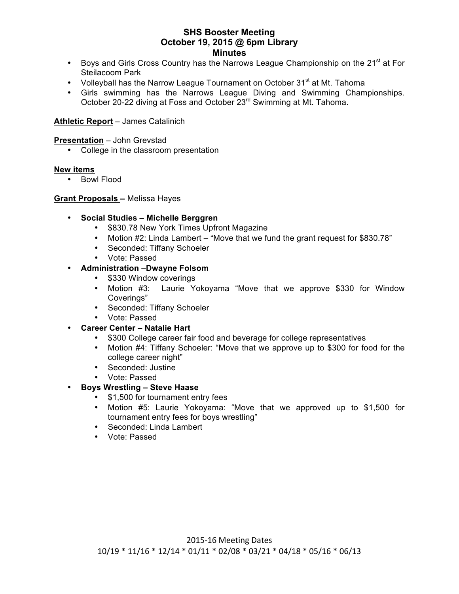# **SHS Booster Meeting October 19, 2015 @ 6pm Library Minutes**

- Boys and Girls Cross Country has the Narrows League Championship on the 21<sup>st</sup> at For Steilacoom Park
- Volleyball has the Narrow League Tournament on October  $31<sup>st</sup>$  at Mt. Tahoma
- Girls swimming has the Narrows League Diving and Swimming Championships. October 20-22 diving at Foss and October 23rd Swimming at Mt. Tahoma.

# **Athletic Report** – James Catalinich

**Presentation** – John Grevstad

• College in the classroom presentation

## **New items**

• Bowl Flood

## **Grant Proposals –** Melissa Hayes

- **Social Studies – Michelle Berggren** 
	- \$830.78 New York Times Upfront Magazine
	- Motion #2: Linda Lambert "Move that we fund the grant request for \$830.78"
	- Seconded: Tiffany Schoeler
	- Vote: Passed
- **Administration –Dwayne Folsom**
	- \$330 Window coverings
	- Motion #3: Laurie Yokoyama "Move that we approve \$330 for Window Coverings"
	- Seconded: Tiffany Schoeler
	- Vote: Passed
- **Career Center – Natalie Hart**
	- \$300 College career fair food and beverage for college representatives
	- Motion #4: Tiffany Schoeler: "Move that we approve up to \$300 for food for the college career night"
	- Seconded: Justine
	- Vote: Passed

# • **Boys Wrestling – Steve Haase**

- \$1,500 for tournament entry fees
- Motion #5: Laurie Yokoyama: "Move that we approved up to \$1,500 for tournament entry fees for boys wrestling"
- Seconded: Linda Lambert
- Vote: Passed